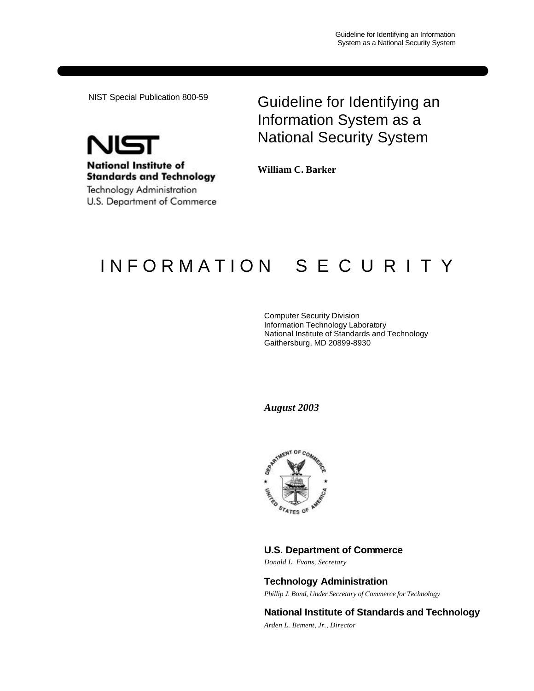NIST

**National Institute of** 

**Standards and Technology** Technology Administration U.S. Department of Commerce

NIST Special Publication 800-59 **Guideline for Identifying an** Information System as a National Security System

**William C. Barker** 

# IN FOR MATION SECURITY

Computer Security Division Information Technology Laboratory National Institute of Standards and Technology Gaithersburg, MD 20899-8930

*August 2003* 



**U.S. Department of Commerce** 

*Donald L. Evans, Secretary* 

**Technology Administration**  *Phillip J. Bond, Under Secretary of Commerce for Technology* 

**National Institute of Standards and Technology**  *Arden L. Bement, Jr., Director*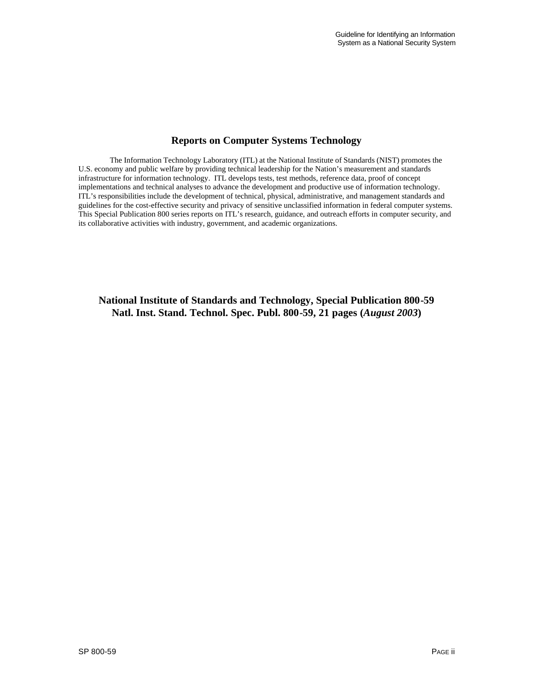#### **Reports on Computer Systems Technology**

The Information Technology Laboratory (ITL) at the National Institute of Standards (NIST) promotes the U.S. economy and public welfare by providing technical leadership for the Nation's measurement and standards infrastructure for information technology. ITL develops tests, test methods, reference data, proof of concept implementations and technical analyses to advance the development and productive use of information technology. ITL's responsibilities include the development of technical, physical, administrative, and management standards and guidelines for the cost-effective security and privacy of sensitive unclassified information in federal computer systems. This Special Publication 800 series reports on ITL's research, guidance, and outreach efforts in computer security, and its collaborative activities with industry, government, and academic organizations.

**National Institute of Standards and Technology, Special Publication 800-59 Natl. Inst. Stand. Technol. Spec. Publ. 800-59, 21 pages (***August 2003***)**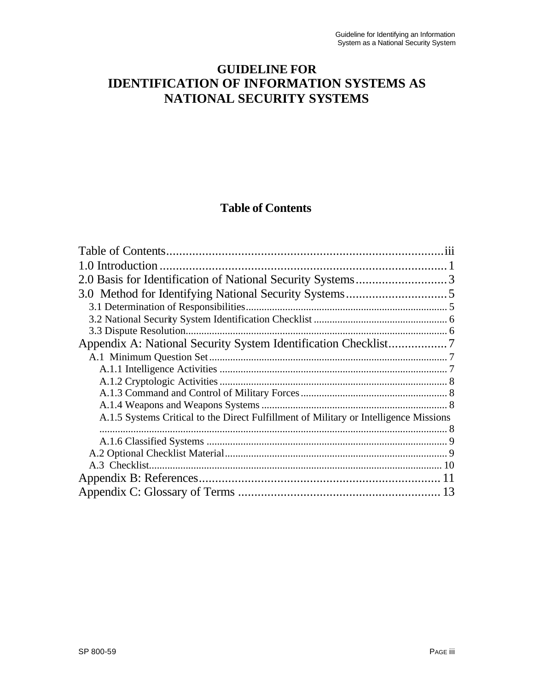#### **GUIDELINE FOR IDENTIFICATION OF INFORMATION SYSTEMS AS NATIONAL SECURITY SYSTEMS**

#### **Table of Contents**

| A.1.5 Systems Critical to the Direct Fulfillment of Military or Intelligence Missions |
|---------------------------------------------------------------------------------------|
|                                                                                       |
|                                                                                       |
|                                                                                       |
|                                                                                       |
|                                                                                       |
|                                                                                       |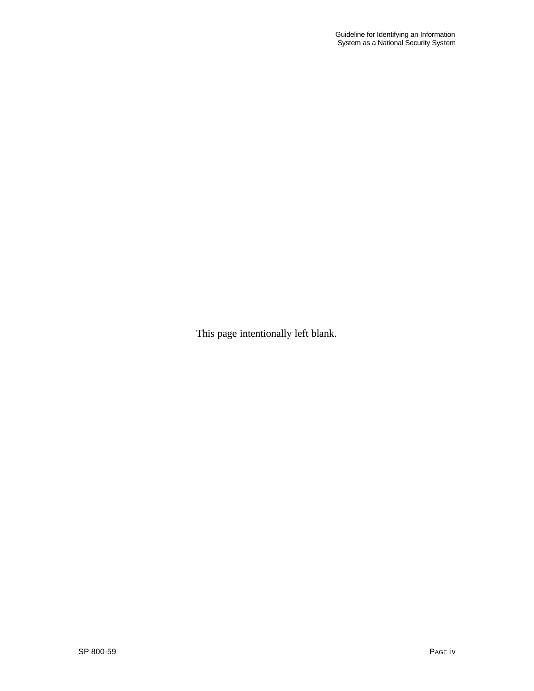This page intentionally left blank.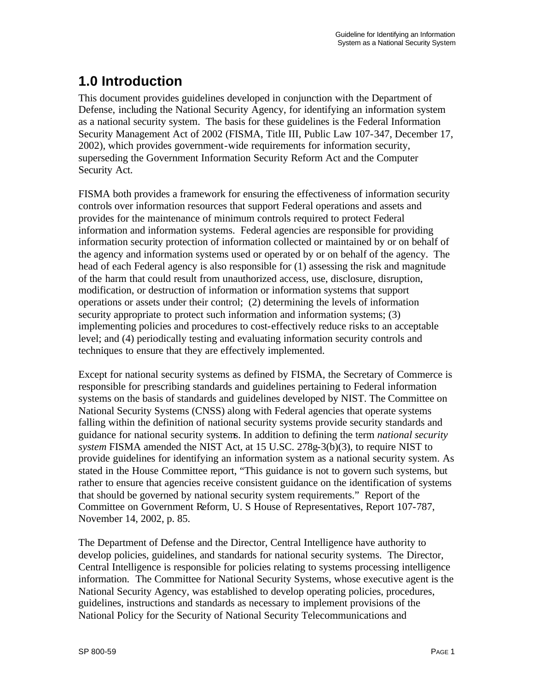## **1.0 Introduction**

 Security Act. This document provides guidelines developed in conjunction with the Department of Defense, including the National Security Agency, for identifying an information system as a national security system. The basis for these guidelines is the Federal Information Security Management Act of 2002 (FISMA, Title III, Public Law 107-347, December 17, 2002), which provides government-wide requirements for information security, superseding the Government Information Security Reform Act and the Computer

FISMA both provides a framework for ensuring the effectiveness of information security controls over information resources that support Federal operations and assets and provides for the maintenance of minimum controls required to protect Federal information and information systems. Federal agencies are responsible for providing information security protection of information collected or maintained by or on behalf of the agency and information systems used or operated by or on behalf of the agency. The head of each Federal agency is also responsible for (1) assessing the risk and magnitude of the harm that could result from unauthorized access, use, disclosure, disruption, modification, or destruction of information or information systems that support operations or assets under their control; (2) determining the levels of information security appropriate to protect such information and information systems; (3) implementing policies and procedures to cost-effectively reduce risks to an acceptable level; and (4) periodically testing and evaluating information security controls and techniques to ensure that they are effectively implemented.

Except for national security systems as defined by FISMA, the Secretary of Commerce is responsible for prescribing standards and guidelines pertaining to Federal information systems on the basis of standards and guidelines developed by NIST. The Committee on National Security Systems (CNSS) along with Federal agencies that operate systems falling within the definition of national security systems provide security standards and guidance for national security systems. In addition to defining the term *national security system* FISMA amended the NIST Act, at 15 U.SC. 278g-3(b)(3), to require NIST to provide guidelines for identifying an information system as a national security system. As stated in the House Committee report, "This guidance is not to govern such systems, but rather to ensure that agencies receive consistent guidance on the identification of systems that should be governed by national security system requirements." Report of the Committee on Government Reform, U. S House of Representatives, Report 107-787, November 14, 2002, p. 85.

The Department of Defense and the Director, Central Intelligence have authority to develop policies, guidelines, and standards for national security systems. The Director, Central Intelligence is responsible for policies relating to systems processing intelligence information. The Committee for National Security Systems, whose executive agent is the National Security Agency, was established to develop operating policies, procedures, guidelines, instructions and standards as necessary to implement provisions of the National Policy for the Security of National Security Telecommunications and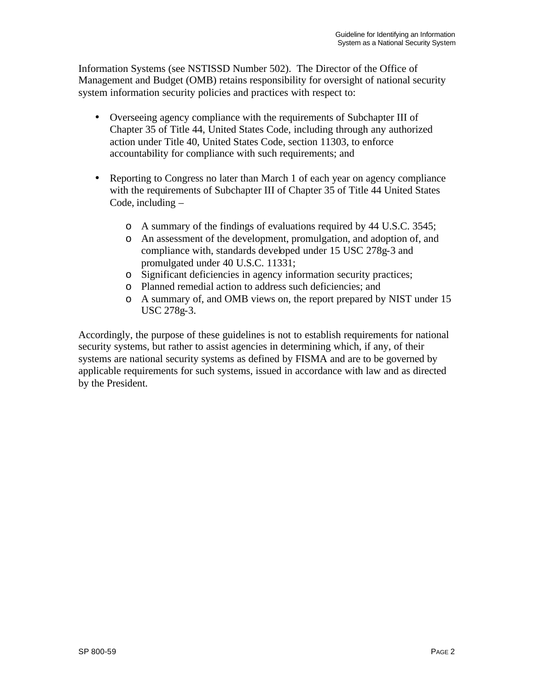Information Systems (see NSTISSD Number 502). The Director of the Office of Management and Budget (OMB) retains responsibility for oversight of national security system information security policies and practices with respect to:

- Overseeing agency compliance with the requirements of Subchapter III of Chapter 35 of Title 44, United States Code, including through any authorized action under Title 40, United States Code, section 11303, to enforce accountability for compliance with such requirements; and
- Reporting to Congress no later than March 1 of each year on agency compliance with the requirements of Subchapter III of Chapter 35 of Title 44 United States Code, including –
	- o A summary of the findings of evaluations required by 44 U.S.C. 3545;
	- o An assessment of the development, promulgation, and adoption of, and compliance with, standards developed under 15 USC 278g-3 and promulgated under 40 U.S.C. 11331;
	- o Significant deficiencies in agency information security practices;
	- o Planned remedial action to address such deficiencies; and
	- o A summary of, and OMB views on, the report prepared by NIST under 15 USC 278g-3.

Accordingly, the purpose of these guidelines is not to establish requirements for national security systems, but rather to assist agencies in determining which, if any, of their systems are national security systems as defined by FISMA and are to be governed by applicable requirements for such systems, issued in accordance with law and as directed by the President.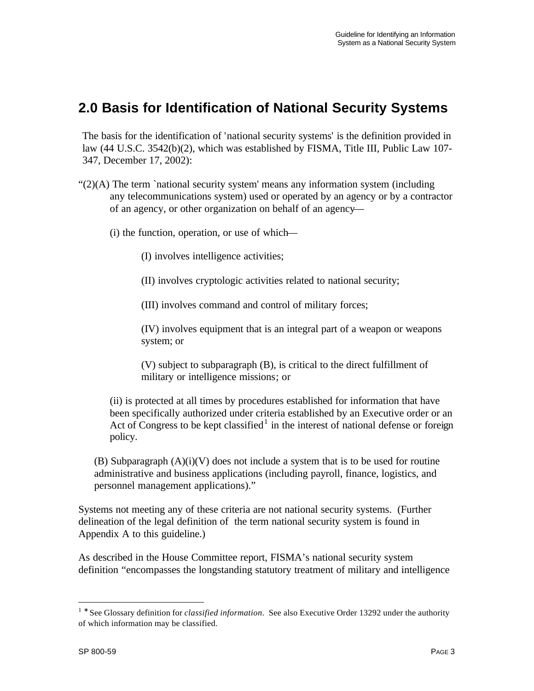### <span id="page-6-0"></span>**2.0 Basis for Identification of National Security Systems**

The basis for the identification of 'national security systems' is the definition provided in law (44 U.S.C. 3542(b)(2), which was established by FISMA, Title III, Public Law 107-347, December 17, 2002):

 $\mathcal{L}(2)(A)$  The term `national security system' means any information system (including any telecommunications system) used or operated by an agency or by a contractor of an agency, or other organization on behalf of an agency—

(i) the function, operation, or use of which—

(I) involves intelligence activities;

(II) involves cryptologic activities related to national security;

(III) involves command and control of military forces;

(IV) involves equipment that is an integral part of a weapon or weapons system; or

(V) subject to subparagraph (B), is critical to the direct fulfillment of military or intelligence missions; or

(ii) is protected at all times by procedures established for information that have been specifically authorized under criteria established by an Executive order or an Act of Congress to be kept classified<sup>1</sup> in the interest of national defense or foreign policy.

 $(B)$  Subparagraph  $(A)(i)(V)$  does not include a system that is to be used for routine administrative and business applications (including payroll, finance, logistics, and personnel management applications)."

Systems not meeting any of these criteria are not national security systems. (Further delineation of the legal definition of the term national security system is found in Appendix A to this guideline.)

As described in the House Committee report, FISMA's national security system definition "encompasses the longstanding statutory treatment of military and intelligence

<sup>&</sup>lt;sup>1</sup> \* See Glossary definition for *classified information*. See also Executive Order 13292 under the authority of which information may be classified.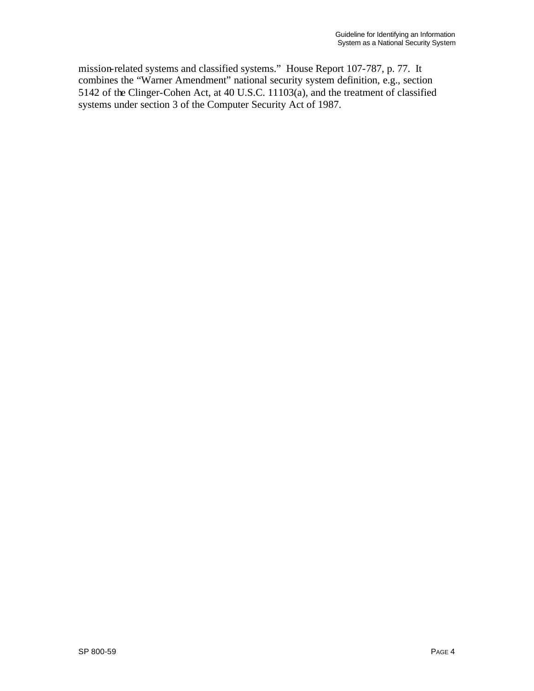mission-related systems and classified systems." House Report 107-787, p. 77. It combines the "Warner Amendment" national security system definition, e.g., section 5142 of the Clinger-Cohen Act, at 40 U.S.C. 11103(a), and the treatment of classified systems under section 3 of the Computer Security Act of 1987.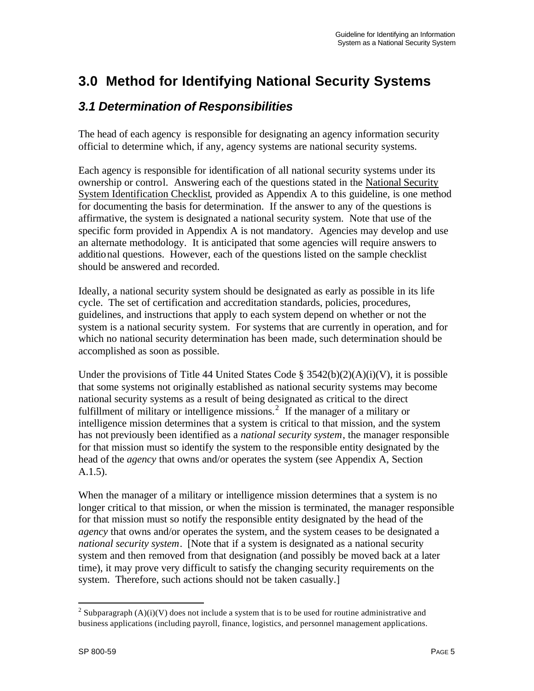## <span id="page-8-0"></span>**3.0 Method for Identifying National Security Systems**

#### *3.1 Determination of Responsibilities*

The head of each agency is responsible for designating an agency information security official to determine which, if any, agency systems are national security systems.

Each agency is responsible for identification of all national security systems under its ownership or control. Answering each of the questions stated in the National Security System Identification Checklist, provided as Appendix A to this guideline, is one method for documenting the basis for determination. If the answer to any of the questions is affirmative, the system is designated a national security system. Note that use of the specific form provided in Appendix A is not mandatory. Agencies may develop and use an alternate methodology. It is anticipated that some agencies will require answers to additional questions. However, each of the questions listed on the sample checklist should be answered and recorded.

Ideally, a national security system should be designated as early as possible in its life cycle. The set of certification and accreditation standards, policies, procedures, guidelines, and instructions that apply to each system depend on whether or not the system is a national security system. For systems that are currently in operation, and for which no national security determination has been made, such determination should be accomplished as soon as possible.

Under the provisions of Title 44 United States Code §  $3542(b)(2)(A)(i)(V)$ , it is possible that some systems not originally established as national security systems may become national security systems as a result of being designated as critical to the direct fulfillment of military or intelligence missions.<sup>2</sup> If the manager of a military or intelligence mission determines that a system is critical to that mission, and the system has not previously been identified as a *national security system*, the manager responsible for that mission must so identify the system to the responsible entity designated by the head of the *agency* that owns and/or operates the system (see Appendix A, Section A.1.5).

When the manager of a military or intelligence mission determines that a system is no longer critical to that mission, or when the mission is terminated, the manager responsible for that mission must so notify the responsible entity designated by the head of the *agency* that owns and/or operates the system, and the system ceases to be designated a *national security system*. [Note that if a system is designated as a national security system and then removed from that designation (and possibly be moved back at a later time), it may prove very difficult to satisfy the changing security requirements on the system. Therefore, such actions should not be taken casually.]

<sup>&</sup>lt;sup>2</sup> Subparagraph  $(A)(i)(V)$  does not include a system that is to be used for routine administrative and business applications (including payroll, finance, logistics, and personnel management applications.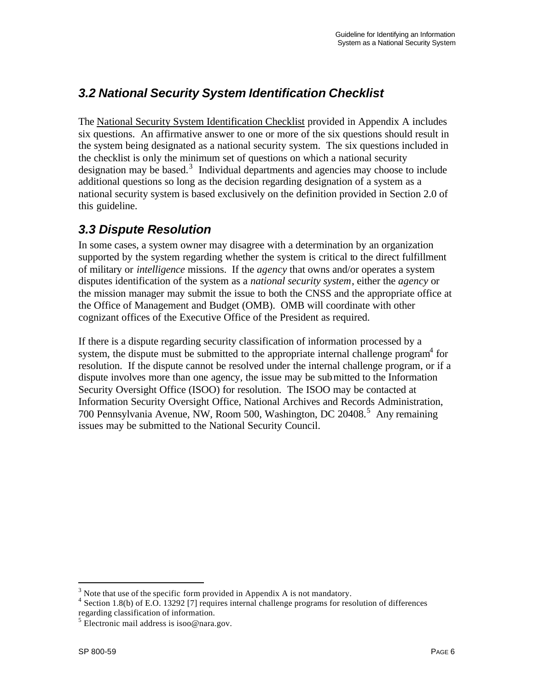### *3.2 National Security System Identification Checklist*

The National Security System Identification Checklist provided in Appendix A includes six questions. An affirmative answer to one or more of the six questions should result in the system being designated as a national security system. The six questions included in the checklist is only the minimum set of questions on which a national security designation may be based.<sup>3</sup> Individual departments and agencies may choose to include additional questions so long as the decision regarding designation of a system as a national security system is based exclusively on the definition provided in Section 2.0 of this guideline.

#### *3.3 Dispute Resolution*

In some cases, a system owner may disagree with a determination by an organization supported by the system regarding whether the system is critical to the direct fulfillment of military or *intelligence* missions. If the *agency* that owns and/or operates a system disputes identification of the system as a *national security system*, either the *agency* or the mission manager may submit the issue to both the CNSS and the appropriate office at the Office of Management and Budget (OMB). OMB will coordinate with other cognizant offices of the Executive Office of the President as required.

issues may be submitted to the National Security Council. If there is a dispute regarding security classification of information processed by a system, the dispute must be submitted to the appropriate internal challenge program $4$  for resolution. If the dispute cannot be resolved under the internal challenge program, or if a dispute involves more than one agency, the issue may be submitted to the Information Security Oversight Office (ISOO) for resolution. The ISOO may be contacted at Information Security Oversight Office, National Archives and Records Administration, 700 Pennsylvania Avenue, NW, Room 500, Washington, DC 20408.<sup>5</sup> Any remaining issues may be submitted to the National Security Council.<br>
<sup>3</sup> Note that use of the specific form provided in Appendix A is not mandatory.

<sup>&</sup>lt;sup>3</sup> Note that use of the specific form provided in Appendix A is not mandatory.<br><sup>4</sup> Section 1.8(b) of E.O. 13292 [7] requires internal challenge programs for resolution of differences regarding classification of information.<br>
<sup>5</sup> Electronic meil address is isoo@nere.

 $<sup>5</sup>$  Electronic mail address is isoo@nara.gov.</sup>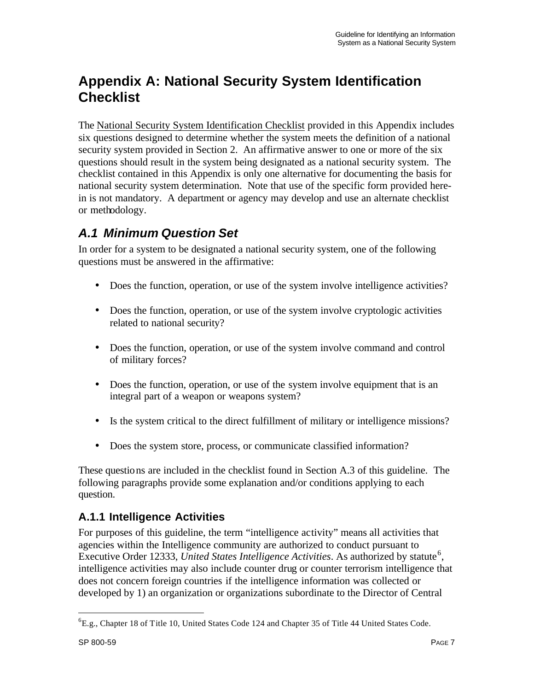## **Appendix A: National Security System Identification Checklist**

The National Security System Identification Checklist provided in this Appendix includes six questions designed to determine whether the system meets the definition of a national security system provided in Section 2. An affirmative answer to one or more of the six questions should result in the system being designated as a national security system. The checklist contained in this Appendix is only one alternative for documenting the basis for national security system determination. Note that use of the specific form provided herein is not mandatory. A department or agency may develop and use an alternate checklist or methodology.

#### *A.1 Minimum Question Set*

In order for a system to be designated a national security system, one of the following questions must be answered in the affirmative:

- Does the function, operation, or use of the system involve intelligence activities?
- Does the function, operation, or use of the system involve cryptologic activities related to national security?
- Does the function, operation, or use of the system involve command and control of military forces?
- Does the function, operation, or use of the system involve equipment that is an integral part of a weapon or weapons system?
- Is the system critical to the direct fulfillment of military or intelligence missions?
- Does the system store, process, or communicate classified information?

These questio ns are included in the checklist found in Section A.3 of this guideline. The following paragraphs provide some explanation and/or conditions applying to each question.

#### **A.1.1 Intelligence Activities**

For purposes of this guideline, the term "intelligence activity" means all activities that agencies within the Intelligence community are authorized to conduct pursuant to Executive Order 12333, United States Intelligence Activities. As authorized by statute<sup>6</sup>, intelligence activities may also include counter drug or counter terrorism intelligence that does not concern foreign countries if the intelligence information was collected or developed by 1) an organization or organizations subordinate to the Director of Central

<sup>&</sup>lt;sup>6</sup>E.g., Chapter 18 of Title 10, United States Code 124 and Chapter 35 of Title 44 United States Code.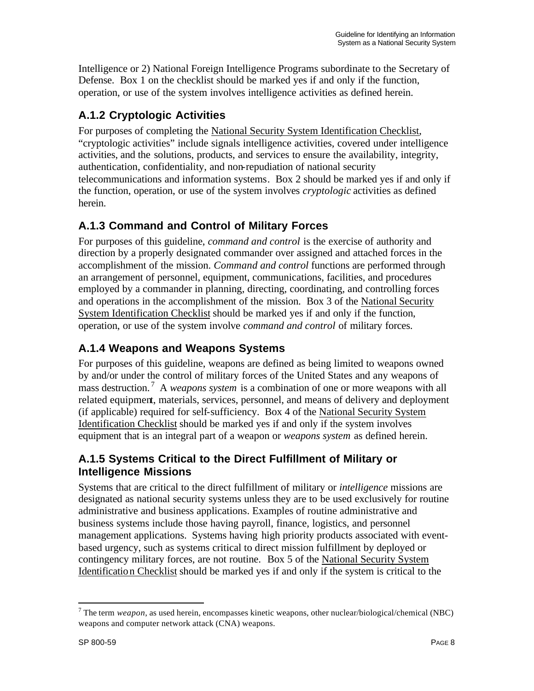<span id="page-11-0"></span>Intelligence or 2) National Foreign Intelligence Programs subordinate to the Secretary of Defense. Box 1 on the checklist should be marked yes if and only if the function, operation, or use of the system involves intelligence activities as defined herein.

### **A.1.2 Cryptologic Activities**

For purposes of completing the National Security System Identification Checklist, "cryptologic activities" include signals intelligence activities, covered under intelligence activities, and the solutions, products, and services to ensure the availability, integrity, authentication, confidentiality, and non-repudiation of national security telecommunications and information systems. Box 2 should be marked yes if and only if the function, operation, or use of the system involves *cryptologic* activities as defined herein.

#### **A.1.3 Command and Control of Military Forces**

For purposes of this guideline, *command and control* is the exercise of authority and direction by a properly designated commander over assigned and attached forces in the accomplishment of the mission. *Command and control* functions are performed through an arrangement of personnel, equipment, communications, facilities, and procedures employed by a commander in planning, directing, coordinating, and controlling forces and operations in the accomplishment of the mission. Box 3 of the National Security System Identification Checklist should be marked yes if and only if the function, operation, or use of the system involve *command and control* of military forces.

#### **A.1.4 Weapons and Weapons Systems**

For purposes of this guideline, weapons are defined as being limited to weapons owned by and/or under the control of military forces of the United States and any weapons of mass destruction. 7 A *weapons system* is a combination of one or more weapons with all related equipment, materials, services, personnel, and means of delivery and deployment (if applicable) required for self-sufficiency. Box 4 of the National Security System Identification Checklist should be marked yes if and only if the system involves equipment that is an integral part of a weapon or *weapons system* as defined herein.

#### **A.1.5 Systems Critical to the Direct Fulfillment of Military or Intelligence Missions**

Systems that are critical to the direct fulfillment of military or *intelligence* missions are designated as national security systems unless they are to be used exclusively for routine administrative and business applications. Examples of routine administrative and business systems include those having payroll, finance, logistics, and personnel management applications. Systems having high priority products associated with eventbased urgency, such as systems critical to direct mission fulfillment by deployed or contingency military forces, are not routine. Box 5 of the National Security System Identification Checklist should be marked yes if and only if the system is critical to the

<sup>7</sup> The term *weapon*, as used herein, encompasses kinetic weapons, other nuclear/biological/chemical (NBC) weapons and computer network attack (CNA) weapons.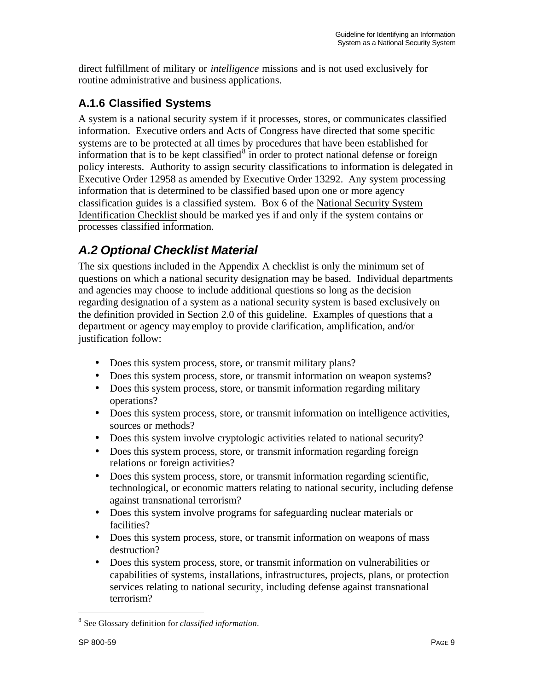<span id="page-12-0"></span>direct fulfillment of military or *intelligence* missions and is not used exclusively for routine administrative and business applications.

#### **A.1.6 Classified Systems**

A system is a national security system if it processes, stores, or communicates classified information. Executive orders and Acts of Congress have directed that some specific systems are to be protected at all times by procedures that have been established for information that is to be kept classified<sup>8</sup> in order to protect national defense or foreign policy interests. Authority to assign security classifications to information is delegated in Executive Order 12958 as amended by Executive Order 13292. Any system processing information that is determined to be classified based upon one or more agency classification guides is a classified system. Box 6 of the National Security System Identification Checklist should be marked yes if and only if the system contains or processes classified information.

### *A.2 Optional Checklist Material*

The six questions included in the Appendix A checklist is only the minimum set of questions on which a national security designation may be based. Individual departments and agencies may choose to include additional questions so long as the decision regarding designation of a system as a national security system is based exclusively on the definition provided in Section 2.0 of this guideline. Examples of questions that a department or agency may employ to provide clarification, amplification, and/or justification follow:

- Does this system process, store, or transmit military plans?
- Does this system process, store, or transmit information on weapon systems?
- Does this system process, store, or transmit information regarding military operations?
- Does this system process, store, or transmit information on intelligence activities, sources or methods?
- Does this system involve cryptologic activities related to national security?
- Does this system process, store, or transmit information regarding foreign relations or foreign activities?
- Does this system process, store, or transmit information regarding scientific, technological, or economic matters relating to national security, including defense against transnational terrorism?
- • Does this system involve programs for safeguarding nuclear materials or facilities?
- Does this system process, store, or transmit information on weapons of mass destruction?
- Does this system process, store, or transmit information on vulnerabilities or capabilities of systems, installations, infrastructures, projects, plans, or protection services relating to national security, including defense against transnational terrorism?

1

<sup>8</sup> See Glossary definition for *classified information*.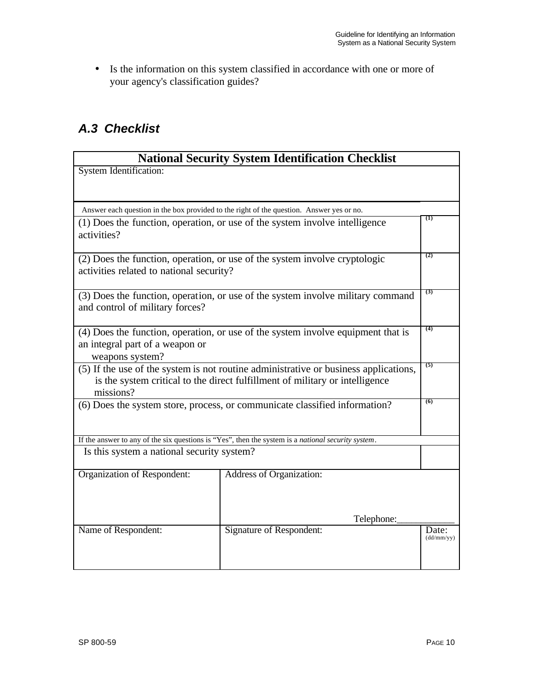• Is the information on this system classified in accordance with one or more of your agency's classification guides?

### *A.3 Checklist*

| <b>National Security System Identification Checklist</b>                                                                                         |                                                                                  |                  |
|--------------------------------------------------------------------------------------------------------------------------------------------------|----------------------------------------------------------------------------------|------------------|
| <b>System Identification:</b>                                                                                                                    |                                                                                  |                  |
|                                                                                                                                                  |                                                                                  |                  |
|                                                                                                                                                  |                                                                                  |                  |
| Answer each question in the box provided to the right of the question. Answer yes or no.                                                         |                                                                                  | $\left(1\right)$ |
| (1) Does the function, operation, or use of the system involve intelligence<br>activities?                                                       |                                                                                  |                  |
|                                                                                                                                                  |                                                                                  |                  |
| (2) Does the function, operation, or use of the system involve cryptologic                                                                       |                                                                                  | (2)              |
| activities related to national security?                                                                                                         |                                                                                  |                  |
|                                                                                                                                                  |                                                                                  |                  |
|                                                                                                                                                  | (3) Does the function, operation, or use of the system involve military command  | (3)              |
| and control of military forces?                                                                                                                  |                                                                                  |                  |
|                                                                                                                                                  |                                                                                  | (4)              |
| an integral part of a weapon or                                                                                                                  | (4) Does the function, operation, or use of the system involve equipment that is |                  |
| weapons system?                                                                                                                                  |                                                                                  |                  |
| (5) If the use of the system is not routine administrative or business applications,                                                             |                                                                                  | (5)              |
| is the system critical to the direct fulfillment of military or intelligence                                                                     |                                                                                  |                  |
| missions?                                                                                                                                        |                                                                                  |                  |
| (6) Does the system store, process, or communicate classified information?                                                                       |                                                                                  | (6)              |
|                                                                                                                                                  |                                                                                  |                  |
|                                                                                                                                                  |                                                                                  |                  |
| If the answer to any of the six questions is "Yes", then the system is a national security system.<br>Is this system a national security system? |                                                                                  |                  |
|                                                                                                                                                  |                                                                                  |                  |
| Organization of Respondent:                                                                                                                      | Address of Organization:                                                         |                  |
|                                                                                                                                                  |                                                                                  |                  |
|                                                                                                                                                  |                                                                                  |                  |
|                                                                                                                                                  | Telephone:                                                                       |                  |
| Name of Respondent:                                                                                                                              | Signature of Respondent:                                                         | Date:            |
|                                                                                                                                                  |                                                                                  | (dd/mm/yy)       |
|                                                                                                                                                  |                                                                                  |                  |
|                                                                                                                                                  |                                                                                  |                  |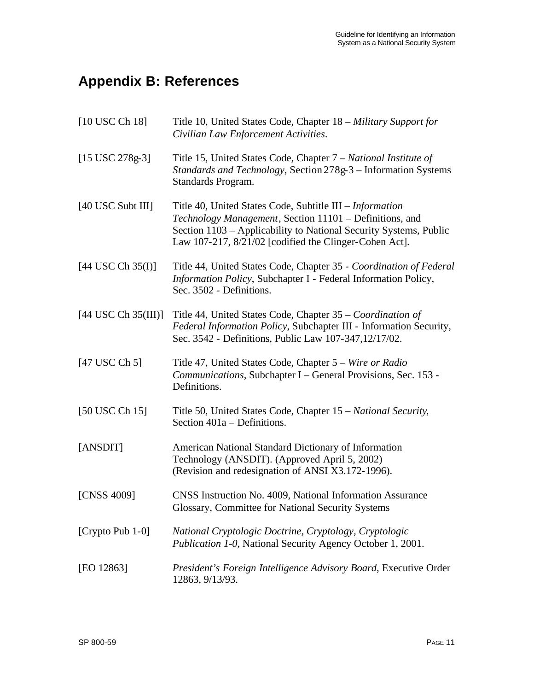## **Appendix B: References**

| [10 USC Ch 18]         | Title 10, United States Code, Chapter 18 – Military Support for<br>Civilian Law Enforcement Activities.                                                                                                                                            |
|------------------------|----------------------------------------------------------------------------------------------------------------------------------------------------------------------------------------------------------------------------------------------------|
| $[15$ USC 278g-3]      | Title 15, United States Code, Chapter 7 – National Institute of<br>Standards and Technology, Section 278g-3 – Information Systems<br>Standards Program.                                                                                            |
| [40 USC Subt III]      | Title 40, United States Code, Subtitle III - Information<br>Technology Management, Section 11101 – Definitions, and<br>Section 1103 – Applicability to National Security Systems, Public<br>Law 107-217, 8/21/02 [codified the Clinger-Cohen Act]. |
| [44 USC Ch $35(I)$ ]   | Title 44, United States Code, Chapter 35 - Coordination of Federal<br>Information Policy, Subchapter I - Federal Information Policy,<br>Sec. 3502 - Definitions.                                                                                   |
| [44 USC Ch $35(III)$ ] | Title 44, United States Code, Chapter 35 – Coordination of<br>Federal Information Policy, Subchapter III - Information Security,<br>Sec. 3542 - Definitions, Public Law 107-347, 12/17/02.                                                         |
| [47 USC Ch 5]          | Title 47, United States Code, Chapter 5 – Wire or Radio<br>Communications, Subchapter I – General Provisions, Sec. 153 -<br>Definitions.                                                                                                           |
| [50 USC Ch 15]         | Title 50, United States Code, Chapter 15 – National Security,<br>Section 401a - Definitions.                                                                                                                                                       |
| [ANSDIT]               | American National Standard Dictionary of Information<br>Technology (ANSDIT). (Approved April 5, 2002)<br>(Revision and redesignation of ANSI X3.172-1996).                                                                                         |
| [CNSS 4009]            | CNSS Instruction No. 4009, National Information Assurance<br>Glossary, Committee for National Security Systems                                                                                                                                     |
| [Crypto Pub 1-0]       | National Cryptologic Doctrine, Cryptology, Cryptologic<br>Publication 1-0, National Security Agency October 1, 2001.                                                                                                                               |
| [EO 12863]             | President's Foreign Intelligence Advisory Board, Executive Order<br>12863, 9/13/93.                                                                                                                                                                |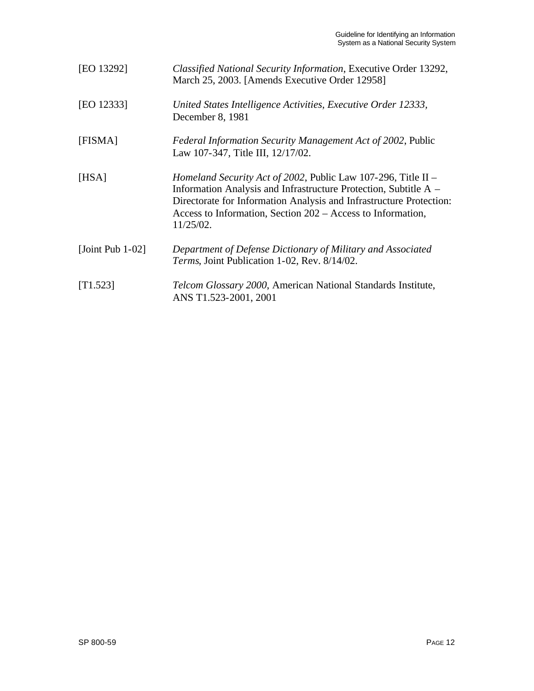| [EO 13292]          | Classified National Security Information, Executive Order 13292,<br>March 25, 2003. [Amends Executive Order 12958]                                                                                                                                                                   |
|---------------------|--------------------------------------------------------------------------------------------------------------------------------------------------------------------------------------------------------------------------------------------------------------------------------------|
| [EO 12333]          | United States Intelligence Activities, Executive Order 12333,<br>December 8, 1981                                                                                                                                                                                                    |
| [FISMA]             | Federal Information Security Management Act of 2002, Public<br>Law 107-347, Title III, 12/17/02.                                                                                                                                                                                     |
| [HSA]               | Homeland Security Act of 2002, Public Law 107-296, Title II -<br>Information Analysis and Infrastructure Protection, Subtitle A -<br>Directorate for Information Analysis and Infrastructure Protection:<br>Access to Information, Section 202 – Access to Information,<br>11/25/02. |
| [Joint Pub $1-02$ ] | Department of Defense Dictionary of Military and Associated<br>Terms, Joint Publication 1-02, Rev. 8/14/02.                                                                                                                                                                          |
| [T1.523]            | <i>Telcom Glossary 2000</i> , American National Standards Institute,<br>ANS T1.523-2001, 2001                                                                                                                                                                                        |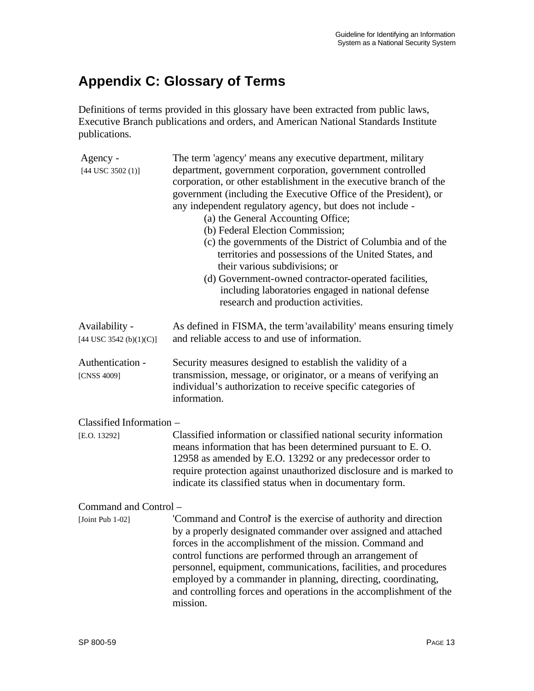## **Appendix C: Glossary of Terms**

Definitions of terms provided in this glossary have been extracted from public laws, Executive Branch publications and orders, and American National Standards Institute publications.

| Agency -<br>$[44$ USC 3502 (1)]           | The term 'agency' means any executive department, military<br>department, government corporation, government controlled<br>corporation, or other establishment in the executive branch of the<br>government (including the Executive Office of the President), or<br>any independent regulatory agency, but does not include -<br>(a) the General Accounting Office;<br>(b) Federal Election Commission;<br>(c) the governments of the District of Columbia and of the<br>territories and possessions of the United States, and<br>their various subdivisions; or<br>(d) Government-owned contractor-operated facilities,<br>including laboratories engaged in national defense<br>research and production activities. |
|-------------------------------------------|------------------------------------------------------------------------------------------------------------------------------------------------------------------------------------------------------------------------------------------------------------------------------------------------------------------------------------------------------------------------------------------------------------------------------------------------------------------------------------------------------------------------------------------------------------------------------------------------------------------------------------------------------------------------------------------------------------------------|
| Availability -<br>[44 USC 3542 (b)(1)(C)] | As defined in FISMA, the term 'availability' means ensuring timely<br>and reliable access to and use of information.                                                                                                                                                                                                                                                                                                                                                                                                                                                                                                                                                                                                   |
| Authentication -<br>[CNSS 4009]           | Security measures designed to establish the validity of a<br>transmission, message, or originator, or a means of verifying an<br>individual's authorization to receive specific categories of<br>information.                                                                                                                                                                                                                                                                                                                                                                                                                                                                                                          |
| Classified Information -                  |                                                                                                                                                                                                                                                                                                                                                                                                                                                                                                                                                                                                                                                                                                                        |
| [E.O. 13292]                              | Classified information or classified national security information<br>means information that has been determined pursuant to E.O.<br>12958 as amended by E.O. 13292 or any predecessor order to<br>require protection against unauthorized disclosure and is marked to<br>indicate its classified status when in documentary form.                                                                                                                                                                                                                                                                                                                                                                                     |
| Command and Control -                     |                                                                                                                                                                                                                                                                                                                                                                                                                                                                                                                                                                                                                                                                                                                        |
| [Joint Pub 1-02]                          | 'Command and Control' is the exercise of authority and direction<br>by a properly designated commander over assigned and attached<br>forces in the accomplishment of the mission. Command and<br>control functions are performed through an arrangement of<br>personnel, equipment, communications, facilities, and procedures<br>employed by a commander in planning, directing, coordinating,<br>and controlling forces and operations in the accomplishment of the<br>mission.                                                                                                                                                                                                                                      |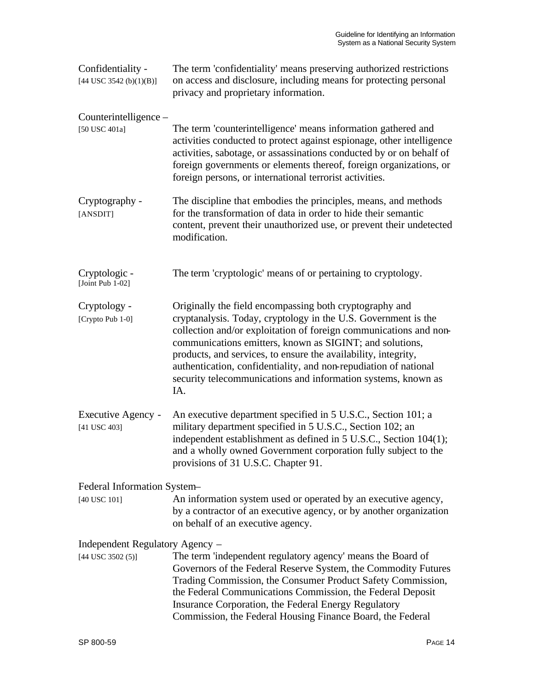| Confidentiality -<br>[44 USC 3542 (b)(1)(B)]           | The term 'confidentiality' means preserving authorized restrictions<br>on access and disclosure, including means for protecting personal<br>privacy and proprietary information.                                                                                                                                                                                                                                                                                         |
|--------------------------------------------------------|--------------------------------------------------------------------------------------------------------------------------------------------------------------------------------------------------------------------------------------------------------------------------------------------------------------------------------------------------------------------------------------------------------------------------------------------------------------------------|
| Counterintelligence –<br>[50 USC 401a]                 | The term 'counterintelligence' means information gathered and<br>activities conducted to protect against espionage, other intelligence<br>activities, sabotage, or assassinations conducted by or on behalf of<br>foreign governments or elements thereof, foreign organizations, or<br>foreign persons, or international terrorist activities.                                                                                                                          |
| Cryptography -<br>[ANSDIT]                             | The discipline that embodies the principles, means, and methods<br>for the transformation of data in order to hide their semantic<br>content, prevent their unauthorized use, or prevent their undetected<br>modification.                                                                                                                                                                                                                                               |
| Cryptologic -<br>[Joint Pub 1-02]                      | The term 'cryptologic' means of or pertaining to cryptology.                                                                                                                                                                                                                                                                                                                                                                                                             |
| Cryptology -<br>[Crypto Pub 1-0]                       | Originally the field encompassing both cryptography and<br>cryptanalysis. Today, cryptology in the U.S. Government is the<br>collection and/or exploitation of foreign communications and non-<br>communications emitters, known as SIGINT; and solutions,<br>products, and services, to ensure the availability, integrity,<br>authentication, confidentiality, and non-repudiation of national<br>security telecommunications and information systems, known as<br>IA. |
| Executive Agency -<br>[41 USC 403]                     | An executive department specified in 5 U.S.C., Section 101; a<br>military department specified in 5 U.S.C., Section 102; an<br>independent establishment as defined in 5 U.S.C., Section 104(1);<br>and a wholly owned Government corporation fully subject to the<br>provisions of 31 U.S.C. Chapter 91.                                                                                                                                                                |
| Federal Information System-                            |                                                                                                                                                                                                                                                                                                                                                                                                                                                                          |
| [40 USC 101]                                           | An information system used or operated by an executive agency,<br>by a contractor of an executive agency, or by another organization<br>on behalf of an executive agency.                                                                                                                                                                                                                                                                                                |
| Independent Regulatory Agency -<br>$[44$ USC 3502 (5)] | The term 'independent regulatory agency' means the Board of<br>Governors of the Federal Reserve System, the Commodity Futures<br>Trading Commission, the Consumer Product Safety Commission,<br>the Federal Communications Commission, the Federal Deposit<br>Insurance Corporation, the Federal Energy Regulatory<br>Commission, the Federal Housing Finance Board, the Federal                                                                                         |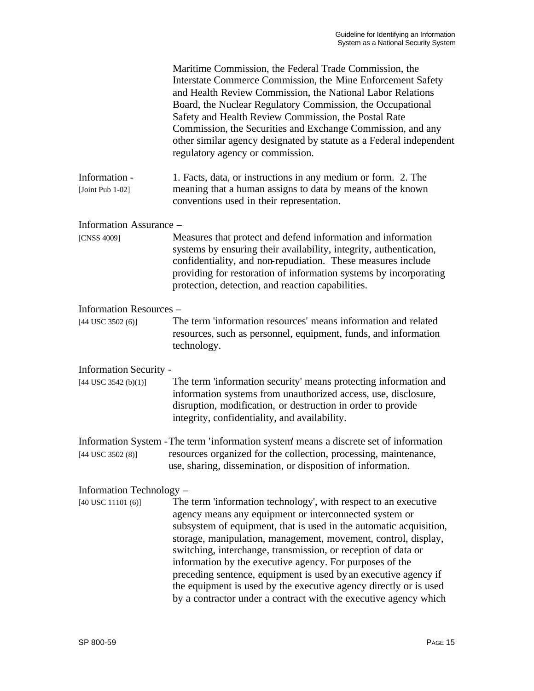|                                   | Maritime Commission, the Federal Trade Commission, the<br>Interstate Commerce Commission, the Mine Enforcement Safety<br>and Health Review Commission, the National Labor Relations<br>Board, the Nuclear Regulatory Commission, the Occupational<br>Safety and Health Review Commission, the Postal Rate<br>Commission, the Securities and Exchange Commission, and any<br>other similar agency designated by statute as a Federal independent<br>regulatory agency or commission.                                                                                                                        |
|-----------------------------------|------------------------------------------------------------------------------------------------------------------------------------------------------------------------------------------------------------------------------------------------------------------------------------------------------------------------------------------------------------------------------------------------------------------------------------------------------------------------------------------------------------------------------------------------------------------------------------------------------------|
| Information -<br>[Joint Pub 1-02] | 1. Facts, data, or instructions in any medium or form. 2. The<br>meaning that a human assigns to data by means of the known<br>conventions used in their representation.                                                                                                                                                                                                                                                                                                                                                                                                                                   |
| Information Assurance –           |                                                                                                                                                                                                                                                                                                                                                                                                                                                                                                                                                                                                            |
| [CNSS 4009]                       | Measures that protect and defend information and information<br>systems by ensuring their availability, integrity, authentication,<br>confidentiality, and non-repudiation. These measures include<br>providing for restoration of information systems by incorporating<br>protection, detection, and reaction capabilities.                                                                                                                                                                                                                                                                               |
| Information Resources –           |                                                                                                                                                                                                                                                                                                                                                                                                                                                                                                                                                                                                            |
| $[44$ USC 3502 (6)]               | The term 'information resources' means information and related<br>resources, such as personnel, equipment, funds, and information<br>technology.                                                                                                                                                                                                                                                                                                                                                                                                                                                           |
| <b>Information Security -</b>     |                                                                                                                                                                                                                                                                                                                                                                                                                                                                                                                                                                                                            |
| [44 USC 3542 (b)(1)]              | The term 'information security' means protecting information and<br>information systems from unauthorized access, use, disclosure,<br>disruption, modification, or destruction in order to provide<br>integrity, confidentiality, and availability.                                                                                                                                                                                                                                                                                                                                                        |
|                                   | Information System - The term 'information system' means a discrete set of information<br>[44 USC 3502 (8)] resources organized for the collection, processing, maintenance,<br>use, sharing, dissemination, or disposition of information.                                                                                                                                                                                                                                                                                                                                                                |
| Information Technology –          |                                                                                                                                                                                                                                                                                                                                                                                                                                                                                                                                                                                                            |
| $[40$ USC 11101 $(6)]$            | The term 'information technology', with respect to an executive<br>agency means any equipment or interconnected system or<br>subsystem of equipment, that is used in the automatic acquisition,<br>storage, manipulation, management, movement, control, display,<br>switching, interchange, transmission, or reception of data or<br>information by the executive agency. For purposes of the<br>preceding sentence, equipment is used by an executive agency if<br>the equipment is used by the executive agency directly or is used<br>by a contractor under a contract with the executive agency which |
|                                   |                                                                                                                                                                                                                                                                                                                                                                                                                                                                                                                                                                                                            |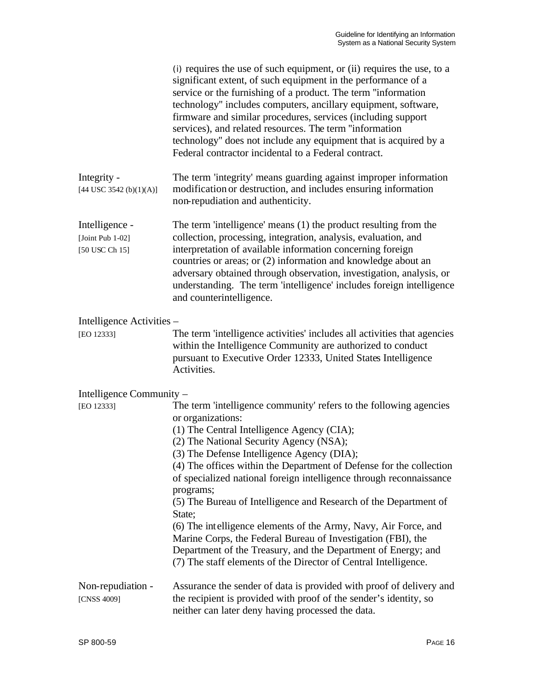|                                                         | (i) requires the use of such equipment, or (ii) requires the use, to a<br>significant extent, of such equipment in the performance of a<br>service or the furnishing of a product. The term "information<br>technology" includes computers, ancillary equipment, software,<br>firmware and similar procedures, services (including support<br>services), and related resources. The term "information<br>technology" does not include any equipment that is acquired by a<br>Federal contractor incidental to a Federal contract.                                                                                                                                                                                                              |
|---------------------------------------------------------|------------------------------------------------------------------------------------------------------------------------------------------------------------------------------------------------------------------------------------------------------------------------------------------------------------------------------------------------------------------------------------------------------------------------------------------------------------------------------------------------------------------------------------------------------------------------------------------------------------------------------------------------------------------------------------------------------------------------------------------------|
| Integrity -<br>[44 USC 3542 (b)(1)(A)]                  | The term 'integrity' means guarding against improper information<br>modification or destruction, and includes ensuring information<br>non-repudiation and authenticity.                                                                                                                                                                                                                                                                                                                                                                                                                                                                                                                                                                        |
| Intelligence -<br>[Joint Pub $1-02$ ]<br>[50 USC Ch 15] | The term 'intelligence' means (1) the product resulting from the<br>collection, processing, integration, analysis, evaluation, and<br>interpretation of available information concerning foreign<br>countries or areas; or (2) information and knowledge about an<br>adversary obtained through observation, investigation, analysis, or<br>understanding. The term 'intelligence' includes foreign intelligence<br>and counterintelligence.                                                                                                                                                                                                                                                                                                   |
| Intelligence Activities -                               |                                                                                                                                                                                                                                                                                                                                                                                                                                                                                                                                                                                                                                                                                                                                                |
| [EO 12333]                                              | The term 'intelligence activities' includes all activities that agencies<br>within the Intelligence Community are authorized to conduct<br>pursuant to Executive Order 12333, United States Intelligence<br>Activities.                                                                                                                                                                                                                                                                                                                                                                                                                                                                                                                        |
| Intelligence Community –                                |                                                                                                                                                                                                                                                                                                                                                                                                                                                                                                                                                                                                                                                                                                                                                |
| [EO 12333]                                              | The term 'intelligence community' refers to the following agencies<br>or organizations:<br>(1) The Central Intelligence Agency (CIA);<br>(2) The National Security Agency (NSA);<br>(3) The Defense Intelligence Agency (DIA);<br>(4) The offices within the Department of Defense for the collection<br>of specialized national foreign intelligence through reconnaissance<br>programs;<br>(5) The Bureau of Intelligence and Research of the Department of<br>State;<br>(6) The intelligence elements of the Army, Navy, Air Force, and<br>Marine Corps, the Federal Bureau of Investigation (FBI), the<br>Department of the Treasury, and the Department of Energy; and<br>(7) The staff elements of the Director of Central Intelligence. |
| Non-repudiation -<br>[CNSS 4009]                        | Assurance the sender of data is provided with proof of delivery and<br>the recipient is provided with proof of the sender's identity, so<br>neither can later deny having processed the data.                                                                                                                                                                                                                                                                                                                                                                                                                                                                                                                                                  |